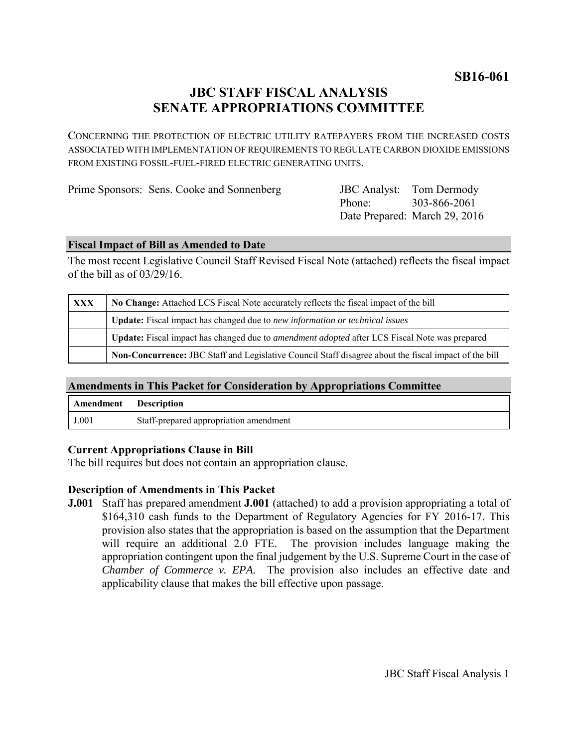**SB16-061**

# **JBC STAFF FISCAL ANALYSIS SENATE APPROPRIATIONS COMMITTEE**

CONCERNING THE PROTECTION OF ELECTRIC UTILITY RATEPAYERS FROM THE INCREASED COSTS ASSOCIATED WITH IMPLEMENTATION OF REQUIREMENTS TO REGULATE CARBON DIOXIDE EMISSIONS FROM EXISTING FOSSIL-FUEL-FIRED ELECTRIC GENERATING UNITS.

Prime Sponsors: Sens. Cooke and Sonnenberg

Phone: Date Prepared: March 29, 2016 **JBC** Analyst: Tom Dermody 303-866-2061

## **Fiscal Impact of Bill as Amended to Date**

The most recent Legislative Council Staff Revised Fiscal Note (attached) reflects the fiscal impact of the bill as of 03/29/16.

| XXX | No Change: Attached LCS Fiscal Note accurately reflects the fiscal impact of the bill                        |
|-----|--------------------------------------------------------------------------------------------------------------|
|     | <b>Update:</b> Fiscal impact has changed due to new information or technical issues                          |
|     | Update: Fiscal impact has changed due to <i>amendment adopted</i> after LCS Fiscal Note was prepared         |
|     | <b>Non-Concurrence:</b> JBC Staff and Legislative Council Staff disagree about the fiscal impact of the bill |

## **Amendments in This Packet for Consideration by Appropriations Committee**

| Amendment | Description                            |
|-----------|----------------------------------------|
| J.001     | Staff-prepared appropriation amendment |

## **Current Appropriations Clause in Bill**

The bill requires but does not contain an appropriation clause.

## **Description of Amendments in This Packet**

**J.001** Staff has prepared amendment **J.001** (attached) to add a provision appropriating a total of \$164,310 cash funds to the Department of Regulatory Agencies for FY 2016-17. This provision also states that the appropriation is based on the assumption that the Department will require an additional 2.0 FTE. The provision includes language making the appropriation contingent upon the final judgement by the U.S. Supreme Court in the case of *Chamber of Commerce v. EPA*. The provision also includes an effective date and applicability clause that makes the bill effective upon passage.